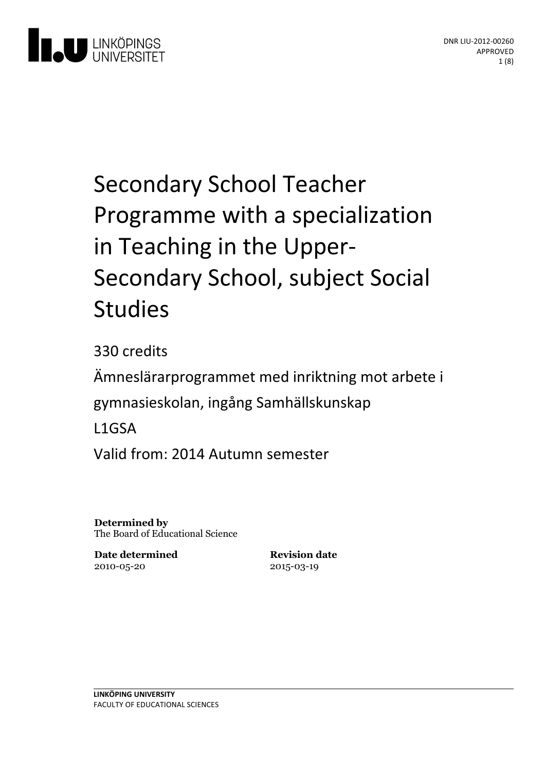

# Secondary School Teacher Programme with a specialization in Teaching in the Upper-<br>Secondary School, subject Social Studies

330 credits Ämneslärarprogrammet med inriktning motarbete i gymnasieskolan, ingång Samhällskunskap L1GSA Valid from: 2014 Autumn semester

**Determined by** The Board of Educational Science

**Date determined** 2010-05-20

**Revision date** 2015-03-19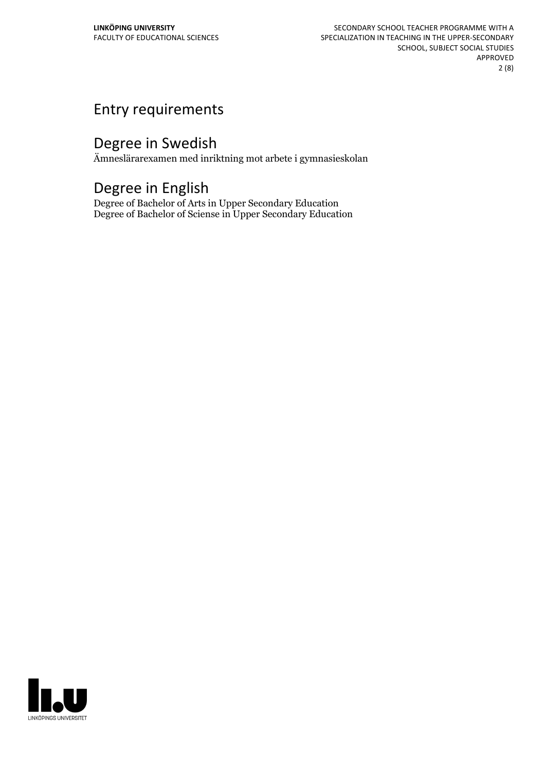## Entry requirements

## Degree in Swedish

Ämneslärarexamen med inriktning mot arbete i gymnasieskolan

## Degree in English

Degree of Bachelor of Arts in Upper Secondary Education Degree of Bachelor of Sciense in Upper Secondary Education

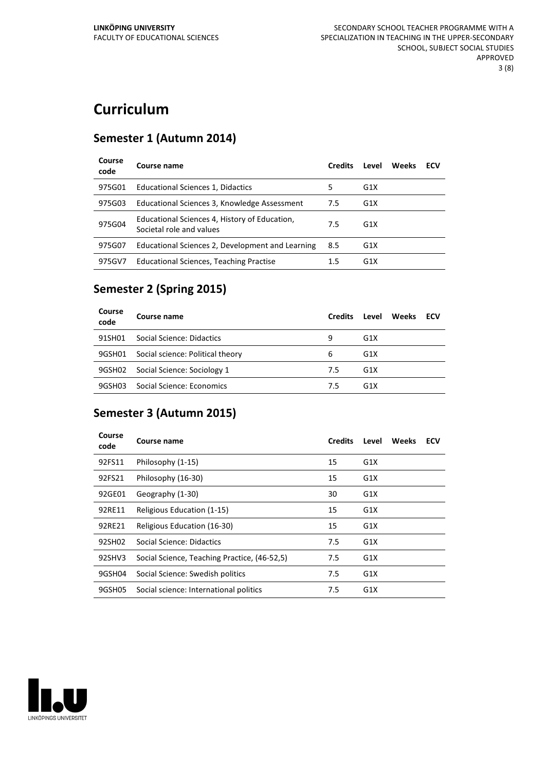# **Curriculum**

#### **Semester 1 (Autumn 2014)**

| Course<br>code | Course name                                                               | <b>Credits</b> | Level            | Weeks | ECV |
|----------------|---------------------------------------------------------------------------|----------------|------------------|-------|-----|
| 975G01         | Educational Sciences 1, Didactics                                         | 5              | G <sub>1</sub> X |       |     |
| 975G03         | Educational Sciences 3, Knowledge Assessment                              | 7.5            | G <sub>1</sub> X |       |     |
| 975G04         | Educational Sciences 4, History of Education,<br>Societal role and values | 7.5            | G <sub>1</sub> X |       |     |
| 975G07         | Educational Sciences 2, Development and Learning                          | 8.5            | G <sub>1</sub> X |       |     |
| 975GV7         | Educational Sciences, Teaching Practise                                   | 1.5            | G <sub>1</sub> X |       |     |

#### **Semester 2 (Spring 2015)**

| Course<br>code | Course name                      | <b>Credits</b> | Level            | <b>Weeks</b> | <b>ECV</b> |
|----------------|----------------------------------|----------------|------------------|--------------|------------|
| 91SH01         | Social Science: Didactics        | 9              | G <sub>1</sub> X |              |            |
| 9GSH01         | Social science: Political theory | 6              | G1X              |              |            |
| 9GSH02         | Social Science: Sociology 1      | 7.5            | G <sub>1</sub> X |              |            |
| 9GSH03         | Social Science: Economics        | 7.5            | G <sub>1</sub> X |              |            |

#### **Semester 3 (Autumn 2015)**

| Course<br>code | Course name                                  | <b>Credits</b> | Level            | <b>Weeks</b> | ECV |
|----------------|----------------------------------------------|----------------|------------------|--------------|-----|
| 92FS11         | Philosophy (1-15)                            | 15             | G1X              |              |     |
| 92FS21         | Philosophy (16-30)                           | 15             | G1X              |              |     |
| 92GE01         | Geography (1-30)                             | 30             | G1X              |              |     |
| 92RE11         | Religious Education (1-15)                   | 15             | G1X              |              |     |
| 92RE21         | Religious Education (16-30)                  | 15             | G1X              |              |     |
| 92SH02         | Social Science: Didactics                    | 7.5            | G1X              |              |     |
| 92SHV3         | Social Science, Teaching Practice, (46-52,5) | 7.5            | G1X              |              |     |
| 9GSH04         | Social Science: Swedish politics             | 7.5            | G1X              |              |     |
| 9GSH05         | Social science: International politics       | 7.5            | G <sub>1</sub> X |              |     |

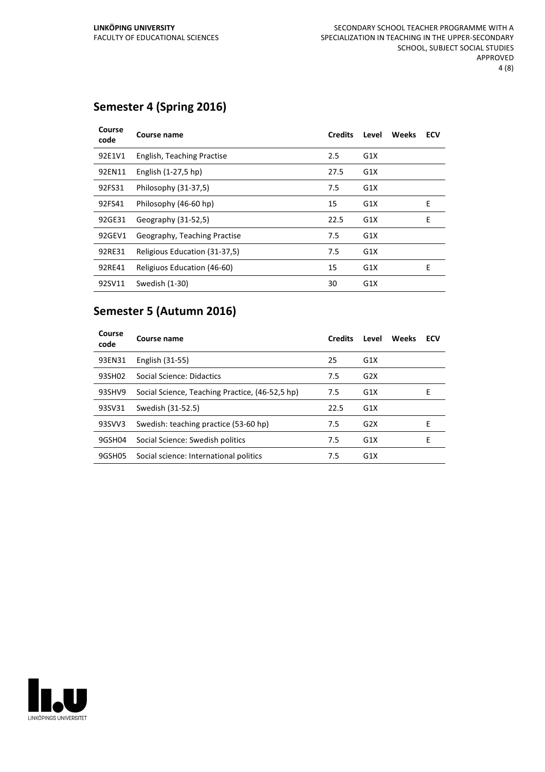#### **Semester 4 (Spring 2016)**

| Course<br>code | Course name                   | <b>Credits</b> | Level | <b>Weeks</b> | ECV |
|----------------|-------------------------------|----------------|-------|--------------|-----|
| 92E1V1         | English, Teaching Practise    | 2.5            | G1X   |              |     |
| 92EN11         | English (1-27,5 hp)           | 27.5           | G1X   |              |     |
| 92FS31         | Philosophy (31-37,5)          | 7.5            | G1X   |              |     |
| 92FS41         | Philosophy (46-60 hp)         | 15             | G1X   |              | E   |
| 92GE31         | Geography (31-52,5)           | 22.5           | G1X   |              | E   |
| 92GEV1         | Geography, Teaching Practise  | 7.5            | G1X   |              |     |
| 92RE31         | Religious Education (31-37,5) | 7.5            | G1X   |              |     |
| 92RE41         | Religiuos Education (46-60)   | 15             | G1X   |              | E   |
| 92SV11         | Swedish (1-30)                | 30             | G1X   |              |     |

#### **Semester 5 (Autumn 2016)**

| Course<br>code | Course name                                     | <b>Credits</b> | Level            | Weeks | ECV |
|----------------|-------------------------------------------------|----------------|------------------|-------|-----|
| 93EN31         | English (31-55)                                 | 25             | G1X              |       |     |
| 93SH02         | Social Science: Didactics                       | 7.5            | G2X              |       |     |
| 93SHV9         | Social Science, Teaching Practice, (46-52,5 hp) | 7.5            | G1X              |       | Е   |
| 93SV31         | Swedish (31-52.5)                               | 22.5           | G1X              |       |     |
| 93SVV3         | Swedish: teaching practice (53-60 hp)           | 7.5            | G2X              |       | Е   |
| 9GSH04         | Social Science: Swedish politics                | 7.5            | G1X              |       | F   |
| 9GSH05         | Social science: International politics          | 7.5            | G <sub>1</sub> X |       |     |

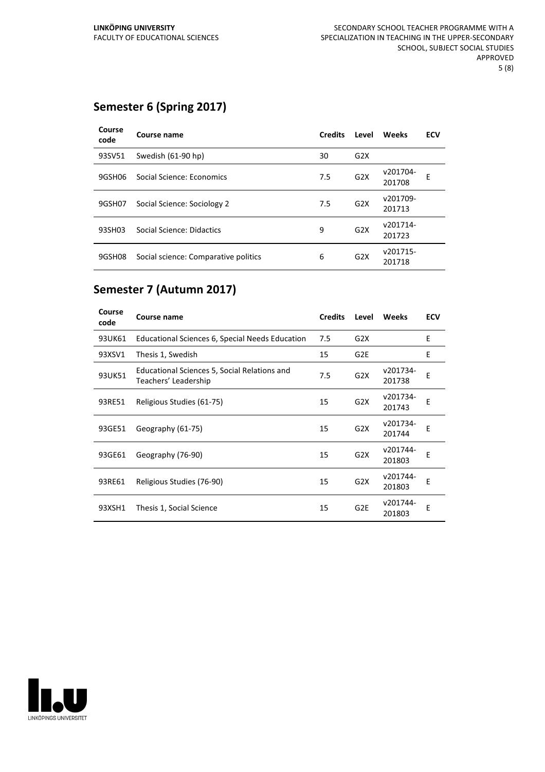#### **Semester 6 (Spring 2017)**

| Course<br>code | Course name                          | <b>Credits</b> | Level | <b>Weeks</b>       | <b>ECV</b> |
|----------------|--------------------------------------|----------------|-------|--------------------|------------|
| 93SV51         | Swedish (61-90 hp)                   | 30             | G2X   |                    |            |
| 9GSH06         | Social Science: Economics            | 7.5            | G2X   | v201704-<br>201708 | Е          |
| 9GSH07         | Social Science: Sociology 2          | 7.5            | G2X   | v201709-<br>201713 |            |
| 93SH03         | Social Science: Didactics            | 9              | G2X   | v201714-<br>201723 |            |
| 9GSH08         | Social science: Comparative politics | 6              | G2X   | v201715-<br>201718 |            |

#### **Semester 7 (Autumn 2017)**

| Course<br>code | Course name                                                          | <b>Credits</b> | Level            | Weeks              | <b>ECV</b> |
|----------------|----------------------------------------------------------------------|----------------|------------------|--------------------|------------|
| 93UK61         | Educational Sciences 6, Special Needs Education                      | 7.5            | G2X              |                    | E          |
| 93XSV1         | Thesis 1, Swedish                                                    | 15             | G <sub>2E</sub>  |                    | E          |
| 93UK51         | Educational Sciences 5, Social Relations and<br>Teachers' Leadership | 7.5            | G <sub>2</sub> X | v201734-<br>201738 | E          |
| 93RE51         | Religious Studies (61-75)                                            | 15             | G2X              | v201734-<br>201743 | F          |
| 93GE51         | Geography (61-75)                                                    | 15             | G2X              | v201734-<br>201744 | E          |
| 93GE61         | Geography (76-90)                                                    | 15             | G <sub>2</sub> X | v201744-<br>201803 | E          |
| 93RE61         | Religious Studies (76-90)                                            | 15             | G <sub>2</sub> X | v201744-<br>201803 | Е          |
| 93XSH1         | Thesis 1, Social Science                                             | 15             | G <sub>2E</sub>  | v201744-<br>201803 | E          |

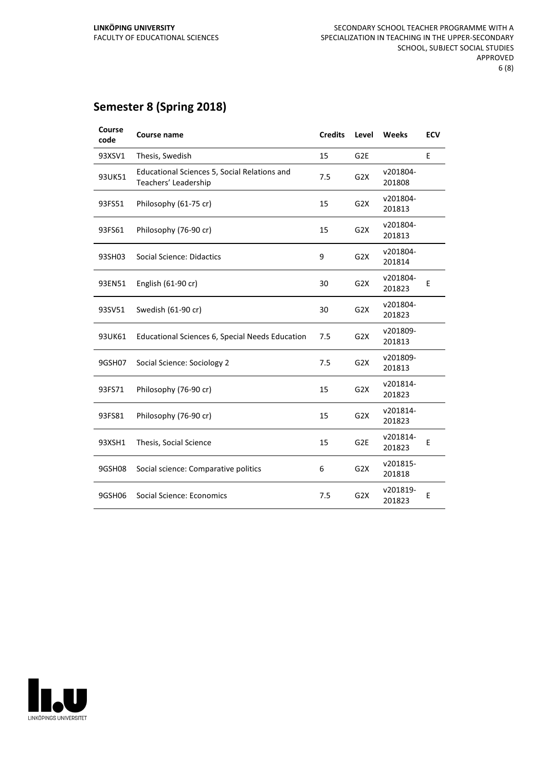#### **Semester 8 (Spring 2018)**

| Course<br>code | <b>Course name</b>                                                   | <b>Credits</b> | Level            | Weeks              | <b>ECV</b> |
|----------------|----------------------------------------------------------------------|----------------|------------------|--------------------|------------|
| 93XSV1         | Thesis, Swedish                                                      | 15             | G <sub>2E</sub>  |                    | E          |
| 93UK51         | Educational Sciences 5, Social Relations and<br>Teachers' Leadership | 7.5            | G <sub>2</sub> X | v201804-<br>201808 |            |
| 93FS51         | Philosophy (61-75 cr)                                                | 15             | G <sub>2</sub> X | v201804-<br>201813 |            |
| 93FS61         | Philosophy (76-90 cr)                                                | 15             | G2X              | v201804-<br>201813 |            |
| 93SH03         | Social Science: Didactics                                            | 9              | G <sub>2</sub> X | v201804-<br>201814 |            |
| 93EN51         | English (61-90 cr)                                                   | 30             | G <sub>2</sub> X | v201804-<br>201823 | E          |
| 93SV51         | Swedish (61-90 cr)                                                   | 30             | G <sub>2</sub> X | v201804-<br>201823 |            |
| 93UK61         | <b>Educational Sciences 6, Special Needs Education</b>               | 7.5            | G <sub>2</sub> X | v201809-<br>201813 |            |
| 9GSH07         | Social Science: Sociology 2                                          | 7.5            | G <sub>2</sub> X | v201809-<br>201813 |            |
| 93FS71         | Philosophy (76-90 cr)                                                | 15             | G2X              | v201814-<br>201823 |            |
| 93FS81         | Philosophy (76-90 cr)                                                | 15             | G <sub>2</sub> X | v201814-<br>201823 |            |
| 93XSH1         | Thesis, Social Science                                               | 15             | G <sub>2E</sub>  | v201814-<br>201823 | E          |
| 9GSH08         | Social science: Comparative politics                                 | 6              | G <sub>2</sub> X | v201815-<br>201818 |            |
| 9GSH06         | Social Science: Economics                                            | 7.5            | G <sub>2</sub> X | v201819-<br>201823 | Ε          |

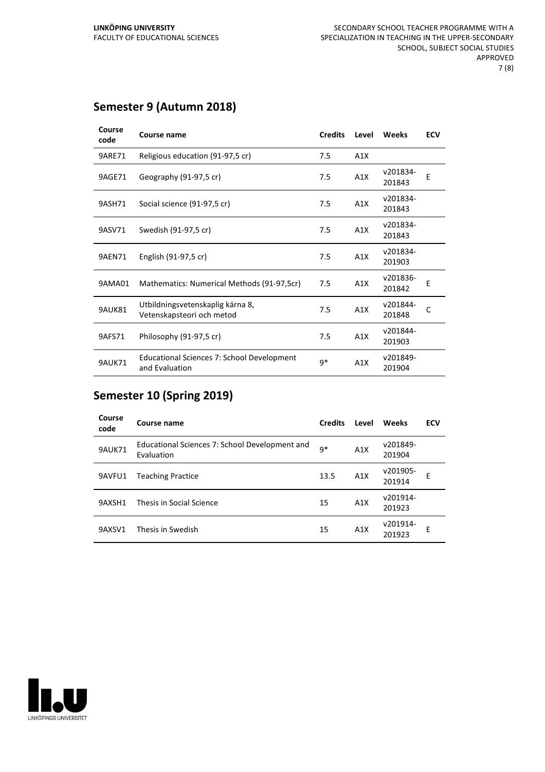#### **Semester 9 (Autumn 2018)**

| Course<br>code | Course name                                                   | <b>Credits</b> | Level            | Weeks              | <b>ECV</b> |
|----------------|---------------------------------------------------------------|----------------|------------------|--------------------|------------|
| 9ARE71         | Religious education (91-97,5 cr)                              | 7.5            | A1X              |                    |            |
| 9AGE71         | Geography (91-97,5 cr)                                        | 7.5            | A1X              | v201834-<br>201843 | E          |
| 9ASH71         | Social science (91-97,5 cr)                                   | 7.5            | A1X              | v201834-<br>201843 |            |
| 9ASV71         | Swedish (91-97,5 cr)                                          | 7.5            | A1X              | v201834-<br>201843 |            |
| <b>9AEN71</b>  | English (91-97,5 cr)                                          | 7.5            | A1X              | v201834-<br>201903 |            |
| 9AMA01         | Mathematics: Numerical Methods (91-97,5cr)                    | 7.5            | A <sub>1</sub> X | v201836-<br>201842 | F          |
| 9AUK81         | Utbildningsvetenskaplig kärna 8,<br>Vetenskapsteori och metod | 7.5            | A1X              | v201844-<br>201848 | C          |
| 9AFS71         | Philosophy (91-97,5 cr)                                       | 7.5            | A1X              | v201844-<br>201903 |            |
| <b>9AUK71</b>  | Educational Sciences 7: School Development<br>and Evaluation  | q*             | A1X              | v201849-<br>201904 |            |

#### **Semester 10 (Spring 2019)**

| Course<br>code | Course name                                                  | <b>Credits</b> | Level | <b>Weeks</b>       | <b>ECV</b> |
|----------------|--------------------------------------------------------------|----------------|-------|--------------------|------------|
| <b>9AUK71</b>  | Educational Sciences 7: School Development and<br>Evaluation | $9*$           | A1X   | v201849-<br>201904 |            |
| 9AVFU1         | <b>Teaching Practice</b>                                     | 13.5           | A1X   | v201905-<br>201914 | F          |
| 9AXSH1         | Thesis in Social Science                                     | 15             | A1X   | v201914-<br>201923 |            |
| 9AXSV1         | Thesis in Swedish                                            | 15             | A1X   | v201914-<br>201923 | Е          |